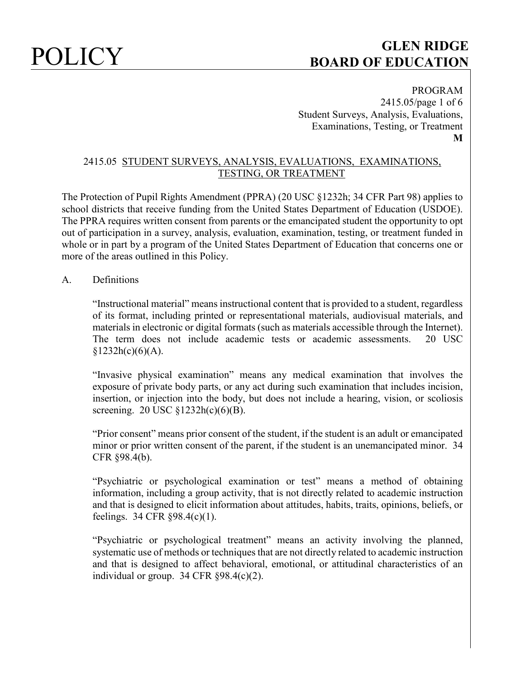

PROGRAM 2415.05/page 1 of 6 Student Surveys, Analysis, Evaluations, Examinations, Testing, or Treatment **M**

### 2415.05 STUDENT SURVEYS, ANALYSIS, EVALUATIONS, EXAMINATIONS, TESTING, OR TREATMENT

The Protection of Pupil Rights Amendment (PPRA) (20 USC §1232h; 34 CFR Part 98) applies to school districts that receive funding from the United States Department of Education (USDOE). The PPRA requires written consent from parents or the emancipated student the opportunity to opt out of participation in a survey, analysis, evaluation, examination, testing, or treatment funded in whole or in part by a program of the United States Department of Education that concerns one or more of the areas outlined in this Policy.

### A. Definitions

"Instructional material" means instructional content that is provided to a student, regardless of its format, including printed or representational materials, audiovisual materials, and materials in electronic or digital formats (such as materials accessible through the Internet). The term does not include academic tests or academic assessments. 20 USC  $$1232h(c)(6)(A).$ 

"Invasive physical examination" means any medical examination that involves the exposure of private body parts, or any act during such examination that includes incision, insertion, or injection into the body, but does not include a hearing, vision, or scoliosis screening. 20 USC §1232h(c)(6)(B).

"Prior consent" means prior consent of the student, if the student is an adult or emancipated minor or prior written consent of the parent, if the student is an unemancipated minor. 34 CFR §98.4(b).

"Psychiatric or psychological examination or test" means a method of obtaining information, including a group activity, that is not directly related to academic instruction and that is designed to elicit information about attitudes, habits, traits, opinions, beliefs, or feelings. 34 CFR §98.4(c)(1).

"Psychiatric or psychological treatment" means an activity involving the planned, systematic use of methods or techniques that are not directly related to academic instruction and that is designed to affect behavioral, emotional, or attitudinal characteristics of an individual or group. 34 CFR §98.4(c)(2).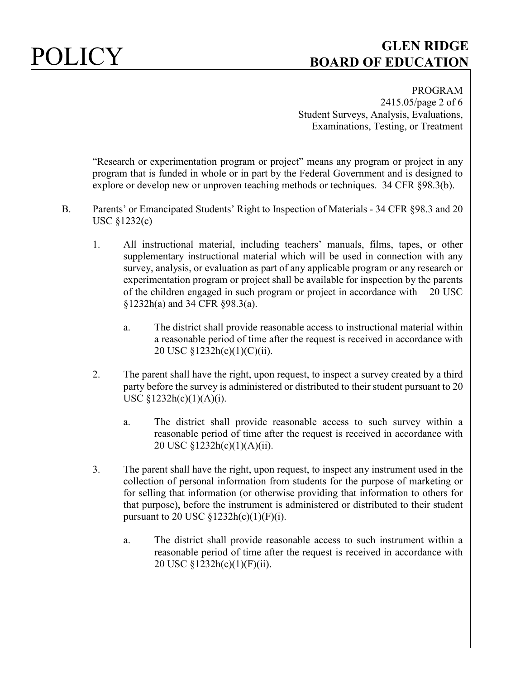

PROGRAM 2415.05/page 2 of 6 Student Surveys, Analysis, Evaluations, Examinations, Testing, or Treatment

"Research or experimentation program or project" means any program or project in any program that is funded in whole or in part by the Federal Government and is designed to explore or develop new or unproven teaching methods or techniques. 34 CFR §98.3(b).

- B. Parents' or Emancipated Students' Right to Inspection of Materials 34 CFR §98.3 and 20 USC §1232(c)
	- 1. All instructional material, including teachers' manuals, films, tapes, or other supplementary instructional material which will be used in connection with any survey, analysis, or evaluation as part of any applicable program or any research or experimentation program or project shall be available for inspection by the parents of the children engaged in such program or project in accordance with 20 USC §1232h(a) and 34 CFR §98.3(a).
		- a. The district shall provide reasonable access to instructional material within a reasonable period of time after the request is received in accordance with 20 USC §1232h(c)(1)(C)(ii).
	- 2. The parent shall have the right, upon request, to inspect a survey created by a third party before the survey is administered or distributed to their student pursuant to 20 USC  $§1232h(c)(1)(A)(i)$ .
		- a. The district shall provide reasonable access to such survey within a reasonable period of time after the request is received in accordance with 20 USC §1232h(c)(1)(A)(ii).
	- 3. The parent shall have the right, upon request, to inspect any instrument used in the collection of personal information from students for the purpose of marketing or for selling that information (or otherwise providing that information to others for that purpose), before the instrument is administered or distributed to their student pursuant to 20 USC  $$1232h(c)(1)(F)(i)$ .
		- a. The district shall provide reasonable access to such instrument within a reasonable period of time after the request is received in accordance with 20 USC §1232h(c)(1)(F)(ii).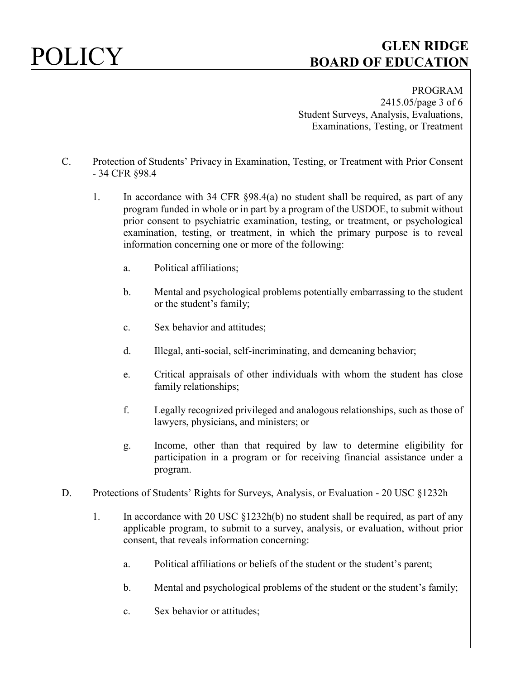

PROGRAM 2415.05/page 3 of 6 Student Surveys, Analysis, Evaluations, Examinations, Testing, or Treatment

- C. Protection of Students' Privacy in Examination, Testing, or Treatment with Prior Consent - 34 CFR §98.4
	- 1. In accordance with 34 CFR §98.4(a) no student shall be required, as part of any program funded in whole or in part by a program of the USDOE, to submit without prior consent to psychiatric examination, testing, or treatment, or psychological examination, testing, or treatment, in which the primary purpose is to reveal information concerning one or more of the following:
		- a. Political affiliations;
		- b. Mental and psychological problems potentially embarrassing to the student or the student's family;
		- c. Sex behavior and attitudes;
		- d. Illegal, anti-social, self-incriminating, and demeaning behavior;
		- e. Critical appraisals of other individuals with whom the student has close family relationships;
		- f. Legally recognized privileged and analogous relationships, such as those of lawyers, physicians, and ministers; or
		- g. Income, other than that required by law to determine eligibility for participation in a program or for receiving financial assistance under a program.
- D. Protections of Students' Rights for Surveys, Analysis, or Evaluation 20 USC §1232h
	- 1. In accordance with 20 USC §1232h(b) no student shall be required, as part of any applicable program, to submit to a survey, analysis, or evaluation, without prior consent, that reveals information concerning:
		- a. Political affiliations or beliefs of the student or the student's parent;
		- b. Mental and psychological problems of the student or the student's family;
		- c. Sex behavior or attitudes;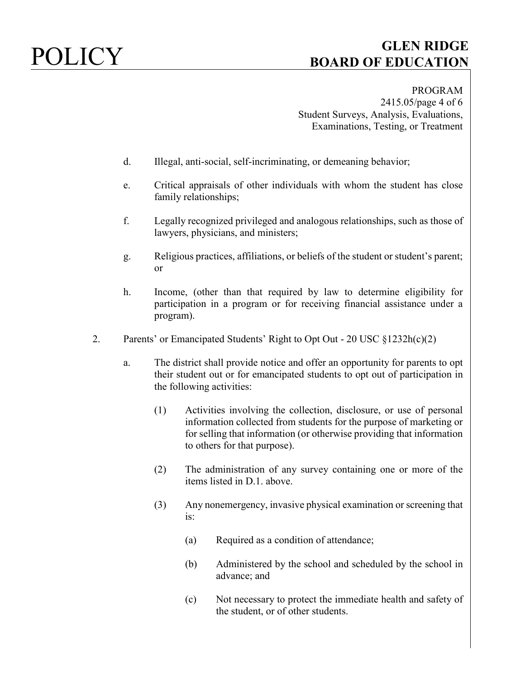PROGRAM 2415.05/page 4 of 6 Student Surveys, Analysis, Evaluations, Examinations, Testing, or Treatment

- d. Illegal, anti-social, self-incriminating, or demeaning behavior;
- e. Critical appraisals of other individuals with whom the student has close family relationships;
- f. Legally recognized privileged and analogous relationships, such as those of lawyers, physicians, and ministers;
- g. Religious practices, affiliations, or beliefs of the student or student's parent; or
- h. Income, (other than that required by law to determine eligibility for participation in a program or for receiving financial assistance under a program).
- 2. Parents' or Emancipated Students' Right to Opt Out 20 USC §1232h(c)(2)
	- a. The district shall provide notice and offer an opportunity for parents to opt their student out or for emancipated students to opt out of participation in the following activities:
		- (1) Activities involving the collection, disclosure, or use of personal information collected from students for the purpose of marketing or for selling that information (or otherwise providing that information to others for that purpose).
		- (2) The administration of any survey containing one or more of the items listed in D.1. above.
		- (3) Any nonemergency, invasive physical examination or screening that is:
			- (a) Required as a condition of attendance;
			- (b) Administered by the school and scheduled by the school in advance; and
			- (c) Not necessary to protect the immediate health and safety of the student, or of other students.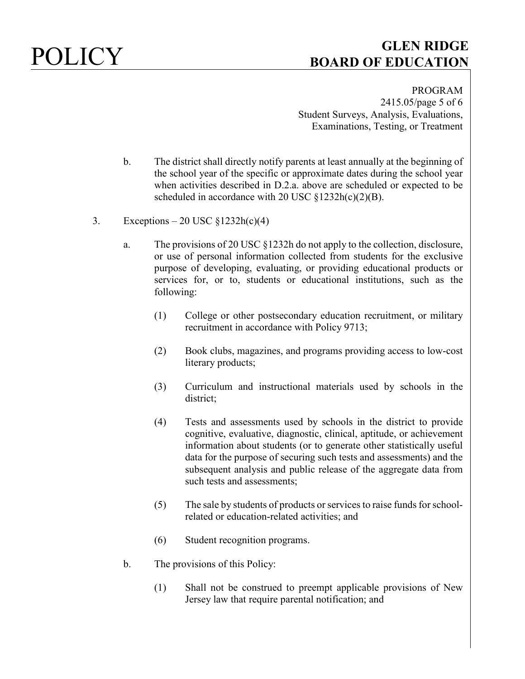PROGRAM 2415.05/page 5 of 6 Student Surveys, Analysis, Evaluations, Examinations, Testing, or Treatment

- b. The district shall directly notify parents at least annually at the beginning of the school year of the specific or approximate dates during the school year when activities described in D.2.a. above are scheduled or expected to be scheduled in accordance with 20 USC  $\S 1232h(c)(2)(B)$ .
- 3. Exceptions 20 USC  $\S 1232h(c)(4)$ 
	- a. The provisions of 20 USC §1232h do not apply to the collection, disclosure, or use of personal information collected from students for the exclusive purpose of developing, evaluating, or providing educational products or services for, or to, students or educational institutions, such as the following:
		- (1) College or other postsecondary education recruitment, or military recruitment in accordance with Policy 9713;
		- (2) Book clubs, magazines, and programs providing access to low-cost literary products;
		- (3) Curriculum and instructional materials used by schools in the district;
		- (4) Tests and assessments used by schools in the district to provide cognitive, evaluative, diagnostic, clinical, aptitude, or achievement information about students (or to generate other statistically useful data for the purpose of securing such tests and assessments) and the subsequent analysis and public release of the aggregate data from such tests and assessments;
		- (5) The sale by students of products or services to raise funds for schoolrelated or education-related activities; and
		- (6) Student recognition programs.
	- b. The provisions of this Policy:
		- (1) Shall not be construed to preempt applicable provisions of New Jersey law that require parental notification; and